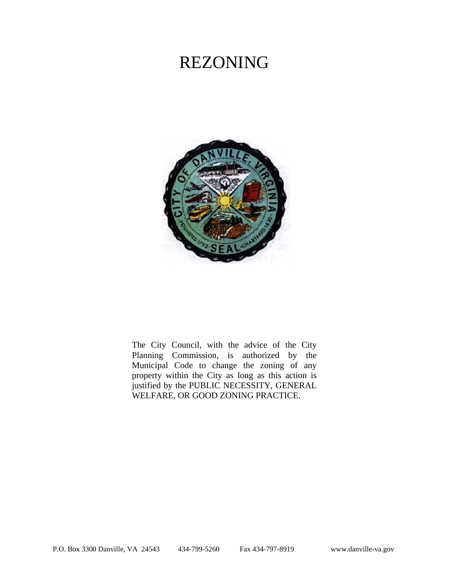# REZONING



The City Council, with the advice of the City Planning Commission, is authorized by the Municipal Code to change the zoning of any property within the City as long as this action is justified by the PUBLIC NECESSITY, GENERAL WELFARE, OR GOOD ZONING PRACTICE.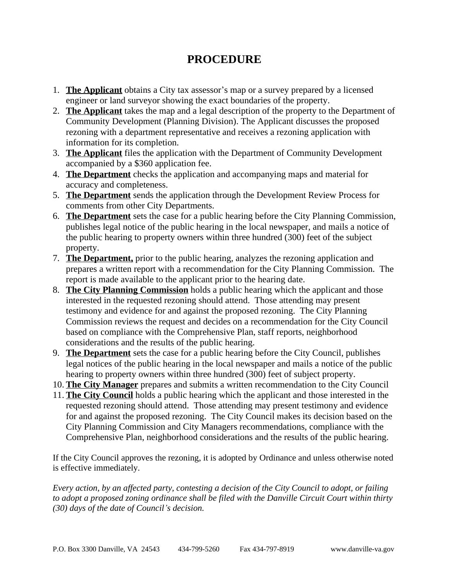# **PROCEDURE**

- 1. **The Applicant** obtains a City tax assessor's map or a survey prepared by a licensed engineer or land surveyor showing the exact boundaries of the property.
- 2. **The Applicant** takes the map and a legal description of the property to the Department of Community Development (Planning Division). The Applicant discusses the proposed rezoning with a department representative and receives a rezoning application with information for its completion.
- 3. **The Applicant** files the application with the Department of Community Development accompanied by a \$360 application fee.
- 4. **The Department** checks the application and accompanying maps and material for accuracy and completeness.
- 5. **The Department** sends the application through the Development Review Process for comments from other City Departments.
- 6. **The Department** sets the case for a public hearing before the City Planning Commission, publishes legal notice of the public hearing in the local newspaper, and mails a notice of the public hearing to property owners within three hundred (300) feet of the subject property.
- 7. **The Department,** prior to the public hearing, analyzes the rezoning application and prepares a written report with a recommendation for the City Planning Commission. The report is made available to the applicant prior to the hearing date.
- 8. **The City Planning Commission** holds a public hearing which the applicant and those interested in the requested rezoning should attend. Those attending may present testimony and evidence for and against the proposed rezoning. The City Planning Commission reviews the request and decides on a recommendation for the City Council based on compliance with the Comprehensive Plan, staff reports, neighborhood considerations and the results of the public hearing.
- 9. **The Department** sets the case for a public hearing before the City Council, publishes legal notices of the public hearing in the local newspaper and mails a notice of the public hearing to property owners within three hundred (300) feet of subject property.
- 10. **The City Manager** prepares and submits a written recommendation to the City Council
- 11. **The City Council** holds a public hearing which the applicant and those interested in the requested rezoning should attend. Those attending may present testimony and evidence for and against the proposed rezoning. The City Council makes its decision based on the City Planning Commission and City Managers recommendations, compliance with the Comprehensive Plan, neighborhood considerations and the results of the public hearing.

If the City Council approves the rezoning, it is adopted by Ordinance and unless otherwise noted is effective immediately.

*Every action, by an affected party, contesting a decision of the City Council to adopt, or failing to adopt a proposed zoning ordinance shall be filed with the Danville Circuit Court within thirty (30) days of the date of Council's decision.*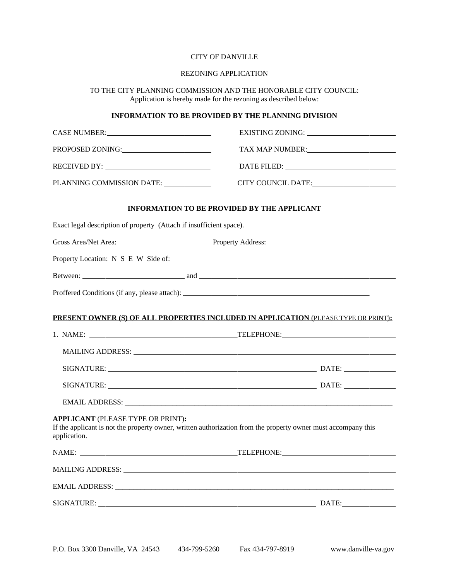### CITY OF DANVILLE

#### REZONING APPLICATION

#### TO THE CITY PLANNING COMMISSION AND THE HONORABLE CITY COUNCIL: Application is hereby made for the rezoning as described below:

# **INFORMATION TO BE PROVIDED BY THE PLANNING DIVISION**

| PROPOSED ZONING:                                                    | TAX MAP NUMBER: University of the SAN MAP NUMBER:                                                                                                                                                                              |
|---------------------------------------------------------------------|--------------------------------------------------------------------------------------------------------------------------------------------------------------------------------------------------------------------------------|
|                                                                     |                                                                                                                                                                                                                                |
| PLANNING COMMISSION DATE: ____________                              |                                                                                                                                                                                                                                |
| <b>INFORMATION TO BE PROVIDED BY THE APPLICANT</b>                  |                                                                                                                                                                                                                                |
| Exact legal description of property (Attach if insufficient space). |                                                                                                                                                                                                                                |
|                                                                     |                                                                                                                                                                                                                                |
|                                                                     |                                                                                                                                                                                                                                |
|                                                                     |                                                                                                                                                                                                                                |
|                                                                     | Proffered Conditions (if any, please attach):                                                                                                                                                                                  |
|                                                                     |                                                                                                                                                                                                                                |
|                                                                     | PRESENT OWNER (S) OF ALL PROPERTIES INCLUDED IN APPLICATION (PLEASE TYPE OR PRINT):                                                                                                                                            |
|                                                                     |                                                                                                                                                                                                                                |
|                                                                     | MAILING ADDRESS: University of the Contract of the Contract of the Contract of the Contract of the Contract of the Contract of the Contract of the Contract of the Contract of the Contract of the Contract of the Contract of |
|                                                                     |                                                                                                                                                                                                                                |
|                                                                     |                                                                                                                                                                                                                                |
|                                                                     |                                                                                                                                                                                                                                |
| <b>APPLICANT (PLEASE TYPE OR PRINT):</b><br>application.            | If the applicant is not the property owner, written authorization from the property owner must accompany this                                                                                                                  |
| NAME:                                                               | TELEPHONE:                                                                                                                                                                                                                     |
|                                                                     |                                                                                                                                                                                                                                |
|                                                                     |                                                                                                                                                                                                                                |